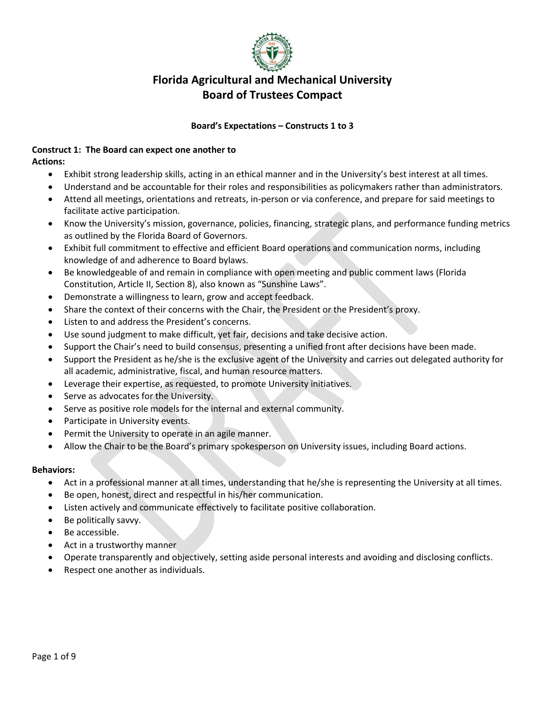

#### **Board's Expectations – Constructs 1 to 3**

#### **Construct 1: The Board can expect one another to Actions:**

- Exhibit strong leadership skills, acting in an ethical manner and in the University's best interest at all times.
- Understand and be accountable for their roles and responsibilities as policymakers rather than administrators.
- Attend all meetings, orientations and retreats, in-person or via conference, and prepare for said meetings to facilitate active participation.
- Know the University's mission, governance, policies, financing, strategic plans, and performance funding metrics as outlined by the Florida Board of Governors.
- Exhibit full commitment to effective and efficient Board operations and communication norms, including knowledge of and adherence to Board bylaws.
- Be knowledgeable of and remain in compliance with open meeting and public comment laws (Florida Constitution, Article II, Section 8), also known as "Sunshine Laws".
- Demonstrate a willingness to learn, grow and accept feedback.
- Share the context of their concerns with the Chair, the President or the President's proxy.
- Listen to and address the President's concerns.
- Use sound judgment to make difficult, yet fair, decisions and take decisive action.
- Support the Chair's need to build consensus, presenting a unified front after decisions have been made.
- Support the President as he/she is the exclusive agent of the University and carries out delegated authority for all academic, administrative, fiscal, and human resource matters.
- Leverage their expertise, as requested, to promote University initiatives.
- Serve as advocates for the University.
- Serve as positive role models for the internal and external community.
- Participate in University events.
- Permit the University to operate in an agile manner.
- Allow the Chair to be the Board's primary spokesperson on University issues, including Board actions.

- Act in a professional manner at all times, understanding that he/she is representing the University at all times.
- Be open, honest, direct and respectful in his/her communication.
- Listen actively and communicate effectively to facilitate positive collaboration.
- Be politically savvy.
- Be accessible.
- Act in a trustworthy manner
- Operate transparently and objectively, setting aside personal interests and avoiding and disclosing conflicts.
- Respect one another as individuals.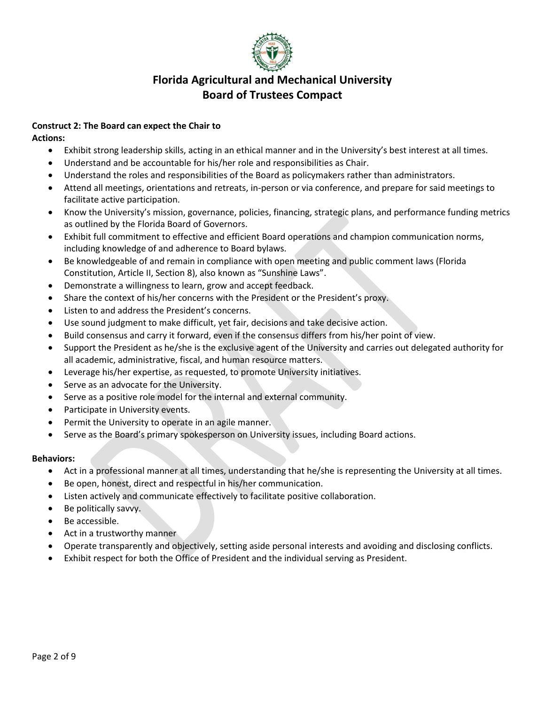

# **Construct 2: The Board can expect the Chair to**

**Actions:**

- Exhibit strong leadership skills, acting in an ethical manner and in the University's best interest at all times.
- Understand and be accountable for his/her role and responsibilities as Chair.
- Understand the roles and responsibilities of the Board as policymakers rather than administrators.
- Attend all meetings, orientations and retreats, in-person or via conference, and prepare for said meetings to facilitate active participation.
- Know the University's mission, governance, policies, financing, strategic plans, and performance funding metrics as outlined by the Florida Board of Governors.
- Exhibit full commitment to effective and efficient Board operations and champion communication norms, including knowledge of and adherence to Board bylaws.
- Be knowledgeable of and remain in compliance with open meeting and public comment laws (Florida Constitution, Article II, Section 8), also known as "Sunshine Laws".
- Demonstrate a willingness to learn, grow and accept feedback.
- Share the context of his/her concerns with the President or the President's proxy.
- Listen to and address the President's concerns.
- Use sound judgment to make difficult, yet fair, decisions and take decisive action.
- Build consensus and carry it forward, even if the consensus differs from his/her point of view.
- Support the President as he/she is the exclusive agent of the University and carries out delegated authority for all academic, administrative, fiscal, and human resource matters.
- Leverage his/her expertise, as requested, to promote University initiatives.
- Serve as an advocate for the University.
- Serve as a positive role model for the internal and external community.
- Participate in University events.
- Permit the University to operate in an agile manner.
- Serve as the Board's primary spokesperson on University issues, including Board actions.

- Act in a professional manner at all times, understanding that he/she is representing the University at all times.
- Be open, honest, direct and respectful in his/her communication.
- Listen actively and communicate effectively to facilitate positive collaboration.
- Be politically savvy.
- Be accessible.
- Act in a trustworthy manner
- Operate transparently and objectively, setting aside personal interests and avoiding and disclosing conflicts.
- Exhibit respect for both the Office of President and the individual serving as President.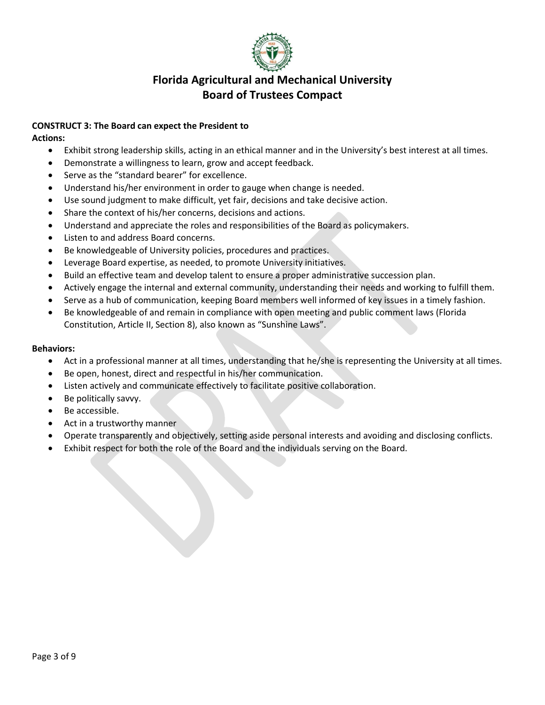

### **CONSTRUCT 3: The Board can expect the President to**

**Actions:**

- Exhibit strong leadership skills, acting in an ethical manner and in the University's best interest at all times.
- Demonstrate a willingness to learn, grow and accept feedback.
- Serve as the "standard bearer" for excellence.
- Understand his/her environment in order to gauge when change is needed.
- Use sound judgment to make difficult, yet fair, decisions and take decisive action.
- Share the context of his/her concerns, decisions and actions.
- Understand and appreciate the roles and responsibilities of the Board as policymakers.
- Listen to and address Board concerns.
- Be knowledgeable of University policies, procedures and practices.
- Leverage Board expertise, as needed, to promote University initiatives.
- Build an effective team and develop talent to ensure a proper administrative succession plan.
- Actively engage the internal and external community, understanding their needs and working to fulfill them.
- Serve as a hub of communication, keeping Board members well informed of key issues in a timely fashion.
- Be knowledgeable of and remain in compliance with open meeting and public comment laws (Florida Constitution, Article II, Section 8), also known as "Sunshine Laws".

- Act in a professional manner at all times, understanding that he/she is representing the University at all times.
- Be open, honest, direct and respectful in his/her communication.
- Listen actively and communicate effectively to facilitate positive collaboration.
- Be politically savvy.
- Be accessible.
- Act in a trustworthy manner
- Operate transparently and objectively, setting aside personal interests and avoiding and disclosing conflicts.
- Exhibit respect for both the role of the Board and the individuals serving on the Board.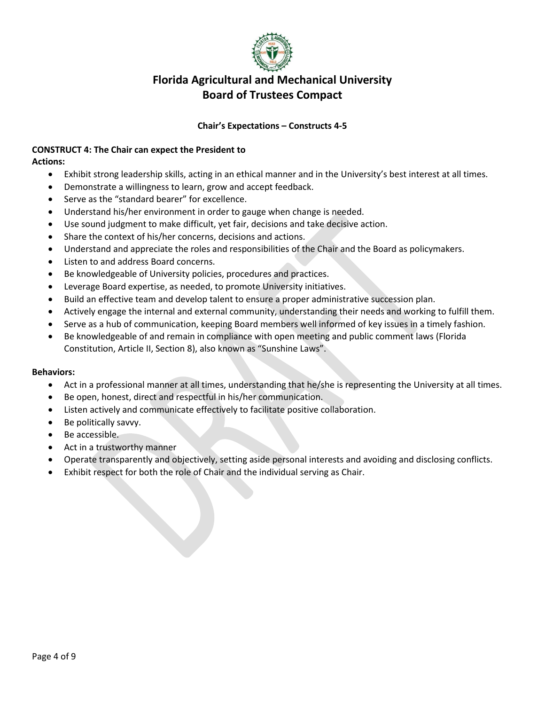

### **Chair's Expectations – Constructs 4-5**

#### **CONSTRUCT 4: The Chair can expect the President to Actions:**

- Exhibit strong leadership skills, acting in an ethical manner and in the University's best interest at all times.
- Demonstrate a willingness to learn, grow and accept feedback.
- Serve as the "standard bearer" for excellence.
- Understand his/her environment in order to gauge when change is needed.
- Use sound judgment to make difficult, yet fair, decisions and take decisive action.
- Share the context of his/her concerns, decisions and actions.
- Understand and appreciate the roles and responsibilities of the Chair and the Board as policymakers.
- Listen to and address Board concerns.
- Be knowledgeable of University policies, procedures and practices.
- Leverage Board expertise, as needed, to promote University initiatives.
- Build an effective team and develop talent to ensure a proper administrative succession plan.
- Actively engage the internal and external community, understanding their needs and working to fulfill them.
- Serve as a hub of communication, keeping Board members well informed of key issues in a timely fashion.
- Be knowledgeable of and remain in compliance with open meeting and public comment laws (Florida Constitution, Article II, Section 8), also known as "Sunshine Laws".

- Act in a professional manner at all times, understanding that he/she is representing the University at all times.
- Be open, honest, direct and respectful in his/her communication.
- Listen actively and communicate effectively to facilitate positive collaboration.
- Be politically savvy.
- Be accessible.
- Act in a trustworthy manner
- Operate transparently and objectively, setting aside personal interests and avoiding and disclosing conflicts.
- Exhibit respect for both the role of Chair and the individual serving as Chair.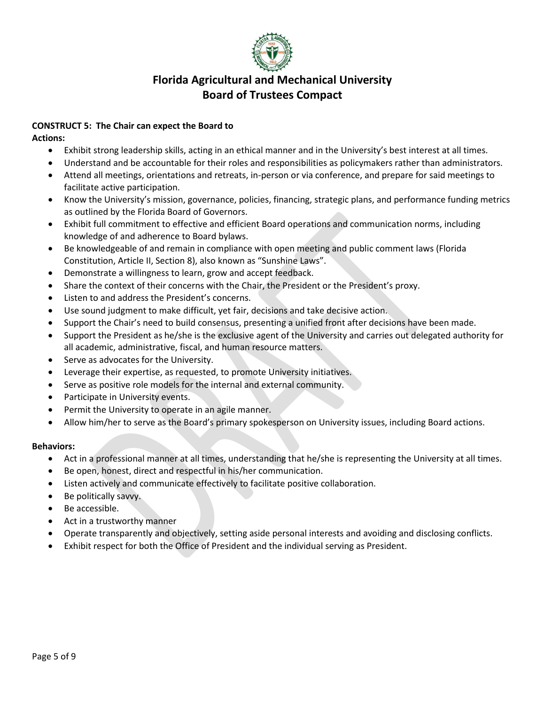

## **CONSTRUCT 5: The Chair can expect the Board to**

**Actions:**

- Exhibit strong leadership skills, acting in an ethical manner and in the University's best interest at all times.
- Understand and be accountable for their roles and responsibilities as policymakers rather than administrators.
- Attend all meetings, orientations and retreats, in-person or via conference, and prepare for said meetings to facilitate active participation.
- Know the University's mission, governance, policies, financing, strategic plans, and performance funding metrics as outlined by the Florida Board of Governors.
- Exhibit full commitment to effective and efficient Board operations and communication norms, including knowledge of and adherence to Board bylaws.
- Be knowledgeable of and remain in compliance with open meeting and public comment laws (Florida Constitution, Article II, Section 8), also known as "Sunshine Laws".
- Demonstrate a willingness to learn, grow and accept feedback.
- Share the context of their concerns with the Chair, the President or the President's proxy.
- Listen to and address the President's concerns.
- Use sound judgment to make difficult, yet fair, decisions and take decisive action.
- Support the Chair's need to build consensus, presenting a unified front after decisions have been made.
- Support the President as he/she is the exclusive agent of the University and carries out delegated authority for all academic, administrative, fiscal, and human resource matters.
- Serve as advocates for the University.
- Leverage their expertise, as requested, to promote University initiatives.
- Serve as positive role models for the internal and external community.
- Participate in University events.
- Permit the University to operate in an agile manner.
- Allow him/her to serve as the Board's primary spokesperson on University issues, including Board actions.

- Act in a professional manner at all times, understanding that he/she is representing the University at all times.
- Be open, honest, direct and respectful in his/her communication.
- Listen actively and communicate effectively to facilitate positive collaboration.
- Be politically savvy.
- Be accessible.
- Act in a trustworthy manner
- Operate transparently and objectively, setting aside personal interests and avoiding and disclosing conflicts.
- Exhibit respect for both the Office of President and the individual serving as President.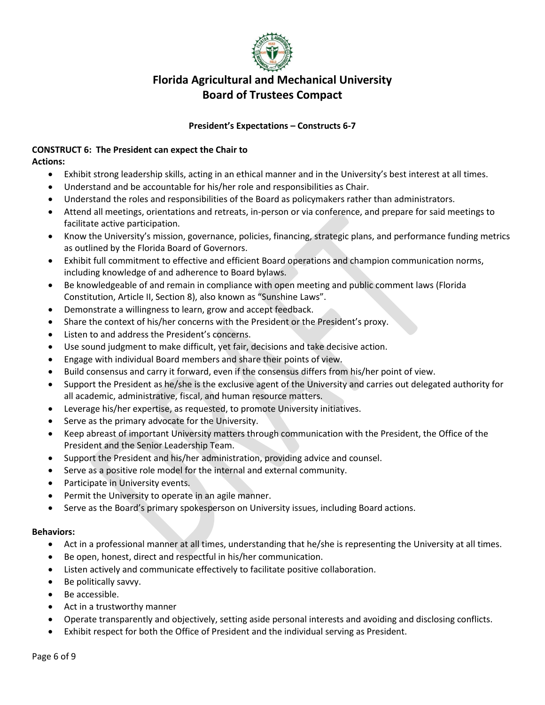

## **President's Expectations – Constructs 6-7**

#### **CONSTRUCT 6: The President can expect the Chair to Actions:**

- Exhibit strong leadership skills, acting in an ethical manner and in the University's best interest at all times.
- Understand and be accountable for his/her role and responsibilities as Chair.
- Understand the roles and responsibilities of the Board as policymakers rather than administrators.
- Attend all meetings, orientations and retreats, in-person or via conference, and prepare for said meetings to facilitate active participation.
- Know the University's mission, governance, policies, financing, strategic plans, and performance funding metrics as outlined by the Florida Board of Governors.
- Exhibit full commitment to effective and efficient Board operations and champion communication norms, including knowledge of and adherence to Board bylaws.
- Be knowledgeable of and remain in compliance with open meeting and public comment laws (Florida Constitution, Article II, Section 8), also known as "Sunshine Laws".
- Demonstrate a willingness to learn, grow and accept feedback.
- Share the context of his/her concerns with the President or the President's proxy.
- Listen to and address the President's concerns.
- Use sound judgment to make difficult, yet fair, decisions and take decisive action.
- Engage with individual Board members and share their points of view.
- Build consensus and carry it forward, even if the consensus differs from his/her point of view.
- Support the President as he/she is the exclusive agent of the University and carries out delegated authority for all academic, administrative, fiscal, and human resource matters.
- Leverage his/her expertise, as requested, to promote University initiatives.
- Serve as the primary advocate for the University.
- Keep abreast of important University matters through communication with the President, the Office of the President and the Senior Leadership Team.
- Support the President and his/her administration, providing advice and counsel.
- Serve as a positive role model for the internal and external community.
- Participate in University events.
- Permit the University to operate in an agile manner.
- Serve as the Board's primary spokesperson on University issues, including Board actions.

- Act in a professional manner at all times, understanding that he/she is representing the University at all times.
- Be open, honest, direct and respectful in his/her communication.
- Listen actively and communicate effectively to facilitate positive collaboration.
- Be politically savvy.
- Be accessible.
- Act in a trustworthy manner
- Operate transparently and objectively, setting aside personal interests and avoiding and disclosing conflicts.
- Exhibit respect for both the Office of President and the individual serving as President.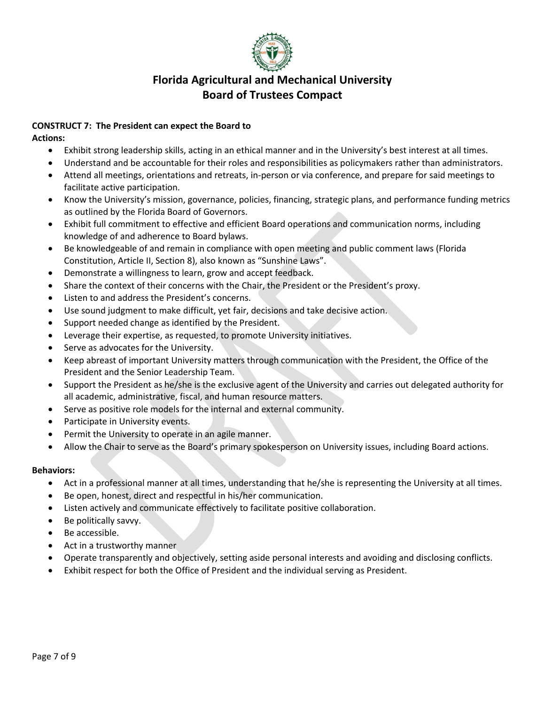

## **CONSTRUCT 7: The President can expect the Board to**

**Actions:**

- Exhibit strong leadership skills, acting in an ethical manner and in the University's best interest at all times.
- Understand and be accountable for their roles and responsibilities as policymakers rather than administrators.
- Attend all meetings, orientations and retreats, in-person or via conference, and prepare for said meetings to facilitate active participation.
- Know the University's mission, governance, policies, financing, strategic plans, and performance funding metrics as outlined by the Florida Board of Governors.
- Exhibit full commitment to effective and efficient Board operations and communication norms, including knowledge of and adherence to Board bylaws.
- Be knowledgeable of and remain in compliance with open meeting and public comment laws (Florida Constitution, Article II, Section 8), also known as "Sunshine Laws".
- Demonstrate a willingness to learn, grow and accept feedback.
- Share the context of their concerns with the Chair, the President or the President's proxy.
- Listen to and address the President's concerns.
- Use sound judgment to make difficult, yet fair, decisions and take decisive action.
- Support needed change as identified by the President.
- Leverage their expertise, as requested, to promote University initiatives.
- Serve as advocates for the University.
- Keep abreast of important University matters through communication with the President, the Office of the President and the Senior Leadership Team.
- Support the President as he/she is the exclusive agent of the University and carries out delegated authority for all academic, administrative, fiscal, and human resource matters.
- Serve as positive role models for the internal and external community.
- Participate in University events.
- Permit the University to operate in an agile manner.
- Allow the Chair to serve as the Board's primary spokesperson on University issues, including Board actions.

- Act in a professional manner at all times, understanding that he/she is representing the University at all times.
- Be open, honest, direct and respectful in his/her communication.
- Listen actively and communicate effectively to facilitate positive collaboration.
- Be politically savvy.
- Be accessible.
- Act in a trustworthy manner
- Operate transparently and objectively, setting aside personal interests and avoiding and disclosing conflicts.
- Exhibit respect for both the Office of President and the individual serving as President.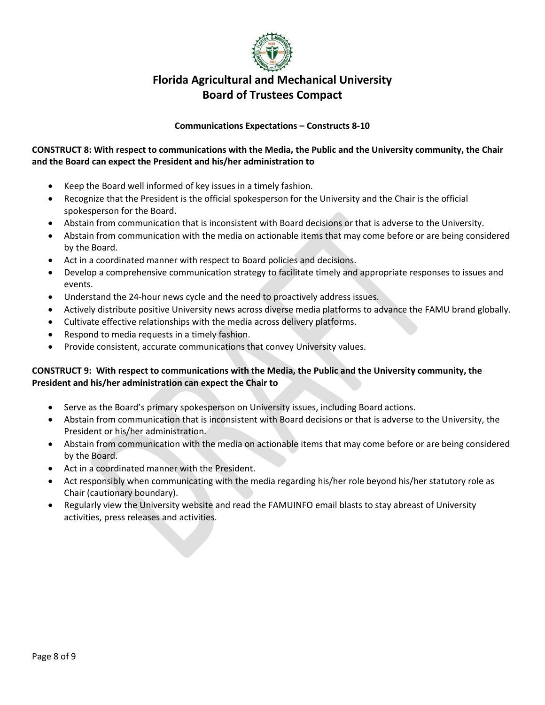

### **Communications Expectations – Constructs 8-10**

## **CONSTRUCT 8: With respect to communications with the Media, the Public and the University community, the Chair and the Board can expect the President and his/her administration to**

- Keep the Board well informed of key issues in a timely fashion.
- Recognize that the President is the official spokesperson for the University and the Chair is the official spokesperson for the Board.
- Abstain from communication that is inconsistent with Board decisions or that is adverse to the University.
- Abstain from communication with the media on actionable items that may come before or are being considered by the Board.
- Act in a coordinated manner with respect to Board policies and decisions.
- Develop a comprehensive communication strategy to facilitate timely and appropriate responses to issues and events.
- Understand the 24-hour news cycle and the need to proactively address issues.
- Actively distribute positive University news across diverse media platforms to advance the FAMU brand globally.
- Cultivate effective relationships with the media across delivery platforms.
- Respond to media requests in a timely fashion.
- Provide consistent, accurate communications that convey University values.

### **CONSTRUCT 9: With respect to communications with the Media, the Public and the University community, the President and his/her administration can expect the Chair to**

- Serve as the Board's primary spokesperson on University issues, including Board actions.
- Abstain from communication that is inconsistent with Board decisions or that is adverse to the University, the President or his/her administration.
- Abstain from communication with the media on actionable items that may come before or are being considered by the Board.
- Act in a coordinated manner with the President.
- Act responsibly when communicating with the media regarding his/her role beyond his/her statutory role as Chair (cautionary boundary).
- Regularly view the University website and read the FAMUINFO email blasts to stay abreast of University activities, press releases and activities.